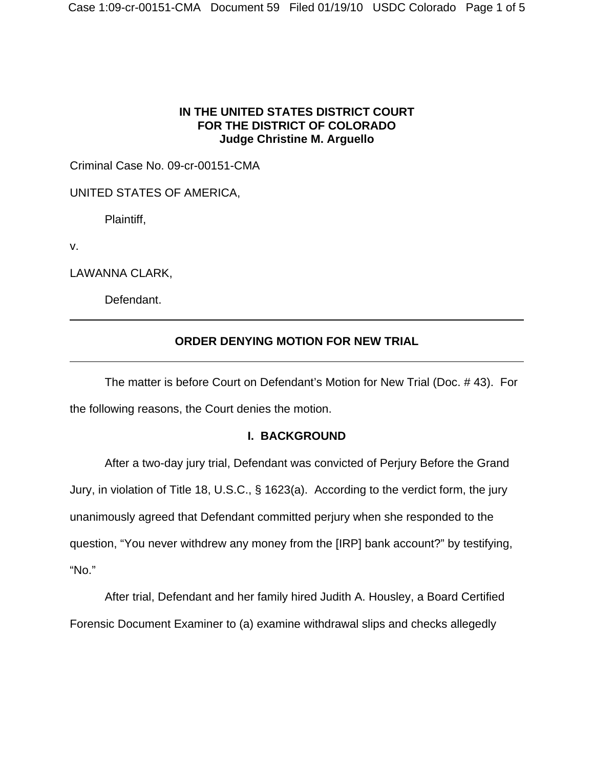## **IN THE UNITED STATES DISTRICT COURT FOR THE DISTRICT OF COLORADO Judge Christine M. Arguello**

Criminal Case No. 09-cr-00151-CMA

UNITED STATES OF AMERICA,

Plaintiff,

v.

LAWANNA CLARK,

Defendant.

# **ORDER DENYING MOTION FOR NEW TRIAL**

The matter is before Court on Defendant's Motion for New Trial (Doc. # 43). For the following reasons, the Court denies the motion.

## **I. BACKGROUND**

After a two-day jury trial, Defendant was convicted of Perjury Before the Grand Jury, in violation of Title 18, U.S.C., § 1623(a). According to the verdict form, the jury unanimously agreed that Defendant committed perjury when she responded to the question, "You never withdrew any money from the [IRP] bank account?" by testifying, "No."

After trial, Defendant and her family hired Judith A. Housley, a Board Certified Forensic Document Examiner to (a) examine withdrawal slips and checks allegedly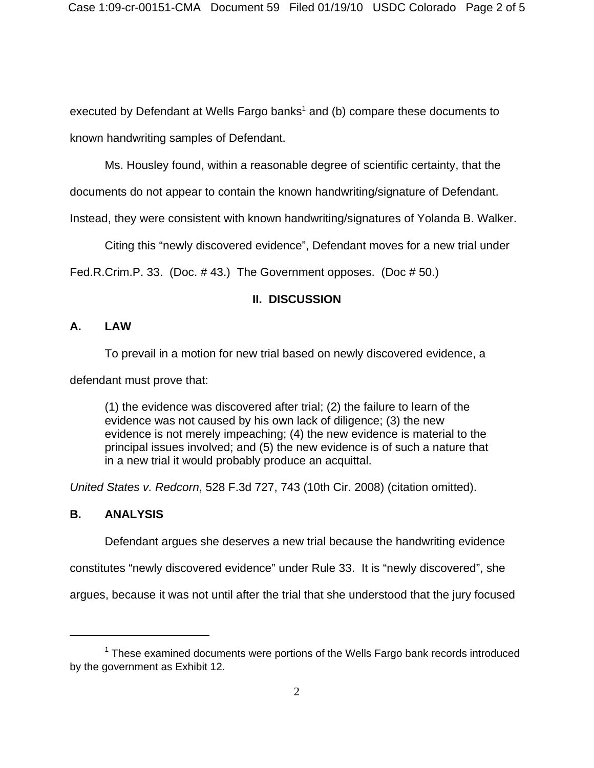executed by Defendant at Wells Fargo banks<sup>1</sup> and (b) compare these documents to known handwriting samples of Defendant.

Ms. Housley found, within a reasonable degree of scientific certainty, that the

documents do not appear to contain the known handwriting/signature of Defendant.

Instead, they were consistent with known handwriting/signatures of Yolanda B. Walker.

Citing this "newly discovered evidence", Defendant moves for a new trial under

Fed.R.Crim.P. 33. (Doc. # 43.) The Government opposes. (Doc # 50.)

## **II. DISCUSSION**

## **A. LAW**

To prevail in a motion for new trial based on newly discovered evidence, a

defendant must prove that:

(1) the evidence was discovered after trial; (2) the failure to learn of the evidence was not caused by his own lack of diligence; (3) the new evidence is not merely impeaching; (4) the new evidence is material to the principal issues involved; and (5) the new evidence is of such a nature that in a new trial it would probably produce an acquittal.

*United States v. Redcorn*, 528 F.3d 727, 743 (10th Cir. 2008) (citation omitted).

## **B. ANALYSIS**

Defendant argues she deserves a new trial because the handwriting evidence

constitutes "newly discovered evidence" under Rule 33. It is "newly discovered", she

argues, because it was not until after the trial that she understood that the jury focused

 $1$  These examined documents were portions of the Wells Fargo bank records introduced by the government as Exhibit 12.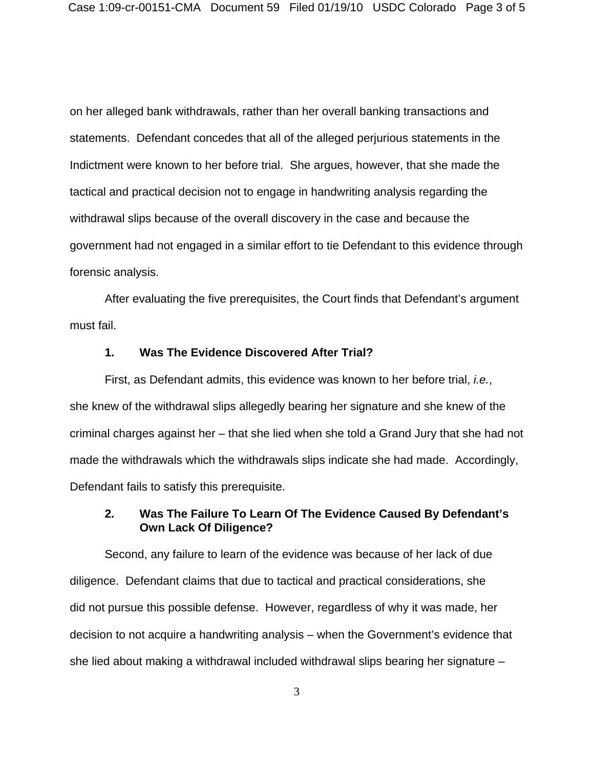on her alleged bank withdrawals, rather than her overall banking transactions and statements. Defendant concedes that all of the alleged perjurious statements in the Indictment were known to her before trial. She argues, however, that she made the tactical and practical decision not to engage in handwriting analysis regarding the withdrawal slips because of the overall discovery in the case and because the government had not engaged in a similar effort to tie Defendant to this evidence through forensic analysis.

After evaluating the five prerequisites, the Court finds that Defendant's argument must fail.

#### **1. Was The Evidence Discovered After Trial?**

First, as Defendant admits, this evidence was known to her before trial, *i.e.*, she knew of the withdrawal slips allegedly bearing her signature and she knew of the criminal charges against her – that she lied when she told a Grand Jury that she had not made the withdrawals which the withdrawals slips indicate she had made. Accordingly, Defendant fails to satisfy this prerequisite.

## **2. Was The Failure To Learn Of The Evidence Caused By Defendant's Own Lack Of Diligence?**

Second, any failure to learn of the evidence was because of her lack of due diligence. Defendant claims that due to tactical and practical considerations, she did not pursue this possible defense. However, regardless of why it was made, her decision to not acquire a handwriting analysis – when the Government's evidence that she lied about making a withdrawal included withdrawal slips bearing her signature –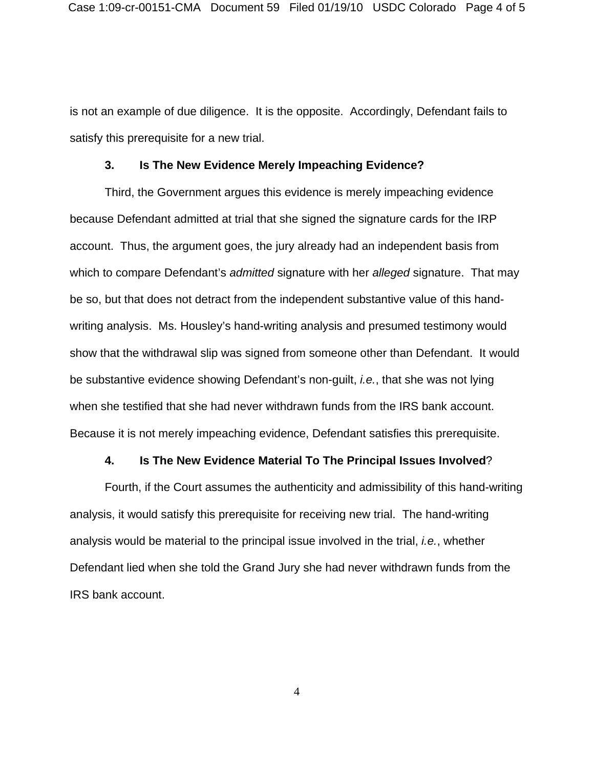is not an example of due diligence. It is the opposite. Accordingly, Defendant fails to satisfy this prerequisite for a new trial.

#### **3. Is The New Evidence Merely Impeaching Evidence?**

Third, the Government argues this evidence is merely impeaching evidence because Defendant admitted at trial that she signed the signature cards for the IRP account. Thus, the argument goes, the jury already had an independent basis from which to compare Defendant's *admitted* signature with her *alleged* signature. That may be so, but that does not detract from the independent substantive value of this handwriting analysis. Ms. Housley's hand-writing analysis and presumed testimony would show that the withdrawal slip was signed from someone other than Defendant. It would be substantive evidence showing Defendant's non-guilt, *i.e.*, that she was not lying when she testified that she had never withdrawn funds from the IRS bank account. Because it is not merely impeaching evidence, Defendant satisfies this prerequisite.

#### **4. Is The New Evidence Material To The Principal Issues Involved**?

Fourth, if the Court assumes the authenticity and admissibility of this hand-writing analysis, it would satisfy this prerequisite for receiving new trial. The hand-writing analysis would be material to the principal issue involved in the trial, *i.e.*, whether Defendant lied when she told the Grand Jury she had never withdrawn funds from the IRS bank account.

4